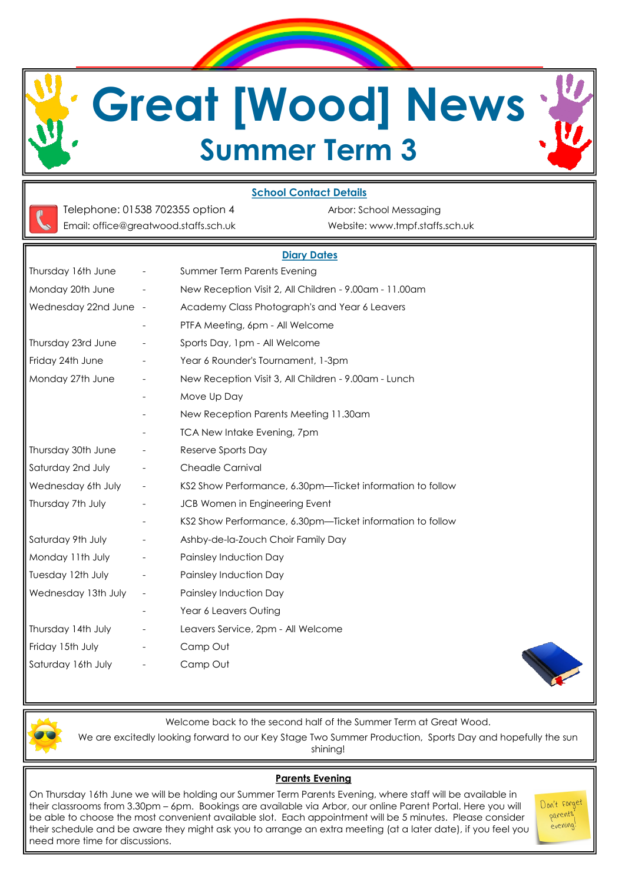**Great [Wood] News Summer Term 3**

### **School Contact Details**



Telephone: 01538 702355 option 4 Arbor: School Messaging Email: office@greatwood.staffs.sch.uk Website: www.tmpf.staffs.sch.uk

### **Diary Dates**

| Thursday 16th June    | $\overline{\phantom{a}}$ | Summer Term Parents Evening                               |
|-----------------------|--------------------------|-----------------------------------------------------------|
| Monday 20th June      | $\overline{\phantom{a}}$ | New Reception Visit 2, All Children - 9.00am - 11.00am    |
| Wednesday 22nd June - |                          | Academy Class Photograph's and Year 6 Leavers             |
|                       |                          | PTFA Meeting, 6pm - All Welcome                           |
| Thursday 23rd June    | $\overline{\phantom{a}}$ | Sports Day, 1pm - All Welcome                             |
| Friday 24th June      | $\overline{\phantom{a}}$ | Year 6 Rounder's Tournament, 1-3pm                        |
| Monday 27th June      | $\overline{\phantom{a}}$ | New Reception Visit 3, All Children - 9.00am - Lunch      |
|                       |                          | Move Up Day                                               |
|                       |                          | New Reception Parents Meeting 11.30am                     |
|                       |                          | <b>TCA New Intake Evening, 7pm</b>                        |
| Thursday 30th June    | $\overline{\phantom{a}}$ | Reserve Sports Day                                        |
| Saturday 2nd July     | $ \,$                    | <b>Cheadle Carnival</b>                                   |
| Wednesday 6th July    | $\sim$                   | KS2 Show Performance, 6.30pm—Ticket information to follow |
| Thursday 7th July     | $\overline{\phantom{a}}$ | JCB Women in Engineering Event                            |
|                       |                          | KS2 Show Performance, 6.30pm-Ticket information to follow |
| Saturday 9th July     | $\overline{\phantom{a}}$ | Ashby-de-la-Zouch Choir Family Day                        |
| Monday 11th July      | $\sim$                   | Painsley Induction Day                                    |
| Tuesday 12th July     | $\overline{\phantom{a}}$ | Painsley Induction Day                                    |
| Wednesday 13th July   | $\overline{\phantom{a}}$ | Painsley Induction Day                                    |
|                       | $\overline{\phantom{a}}$ | Year 6 Leavers Outing                                     |
| Thursday 14th July    | $\overline{\phantom{a}}$ | Leavers Service, 2pm - All Welcome                        |
| Friday 15th July      | $\overline{\phantom{a}}$ | Camp Out                                                  |
| Saturday 16th July    | $\overline{\phantom{a}}$ | Camp Out                                                  |
|                       |                          |                                                           |



Welcome back to the second half of the Summer Term at Great Wood.

We are excitedly looking forward to our Key Stage Two Summer Production, Sports Day and hopefully the sun shining!

#### **Parents Evening**

On Thursday 16th June we will be holding our Summer Term Parents Evening, where staff will be available in their classrooms from 3.30pm – 6pm. Bookings are available via Arbor, our online Parent Portal. Here you will be able to choose the most convenient available slot. Each appointment will be 5 minutes. Please consider their schedule and be aware they might ask you to arrange an extra meeting (at a later date), if you feel you need more time for discussions.